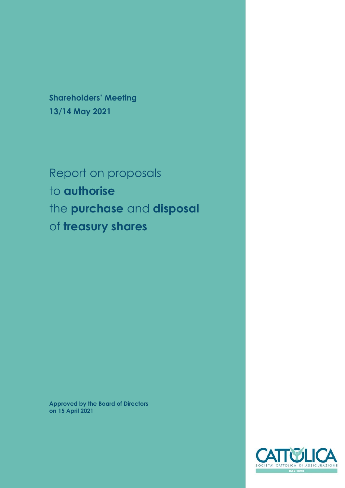**Shareholders' Meeting 13/14 May 2021**

Report on proposals to **authorise** the **purchase** and **disposal** of **treasury shares**

**Approved by the Board of Directors on 15 April 2021**

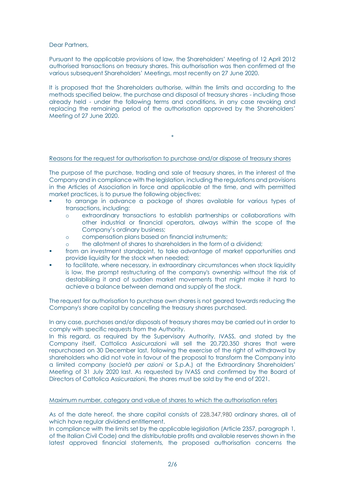Dear Partners,

Pursuant to the applicable provisions of law, the Shareholders' Meeting of 12 April 2012 authorised transactions on treasury shares. This authorisation was then confirmed at the various subsequent Shareholders' Meetings, most recently on 27 June 2020.

It is proposed that the Shareholders authorise, within the limits and according to the methods specified below, the purchase and disposal of treasury shares - including those already held - under the following terms and conditions, in any case revoking and replacing the remaining period of the authorisation approved by the Shareholders' Meeting of 27 June 2020.

### Reasons for the request for authorisation to purchase and/or dispose of treasury shares

\*

The purpose of the purchase, trading and sale of treasury shares, in the interest of the Company and in compliance with the legislation, including the regulations and provisions in the Articles of Association in force and applicable at the time, and with permitted market practices, is to pursue the following objectives:

- to arrange in advance a package of shares available for various types of transactions, including:
	- o extraordinary transactions to establish partnerships or collaborations with other industrial or financial operators, always within the scope of the Company's ordinary business;
	- o compensation plans based on financial instruments;
	- o the allotment of shares to shareholders in the form of a dividend;
- from an investment standpoint, to take advantage of market opportunities and provide liquidity for the stock when needed;
- to facilitate, where necessary, in extraordinary circumstances when stock liquidity is low, the prompt restructuring of the company's ownership without the risk of destabilising it and of sudden market movements that might make it hard to achieve a balance between demand and supply of the stock.

The request for authorisation to purchase own shares is not geared towards reducing the Company's share capital by cancelling the treasury shares purchased.

In any case, purchases and/or disposals of treasury shares may be carried out in order to comply with specific requests from the Authority.

In this regard, as required by the Supervisory Authority, IVASS, and stated by the Company itself, Cattolica Assicurazioni will sell the 20,720,350 shares that were repurchased on 30 December last, following the exercise of the right of withdrawal by shareholders who did not vote in favour of the proposal to transform the Company into a limited company (*società per azioni* or S.p.A.) at the Extraordinary Shareholders' Meeting of 31 July 2020 last. As requested by IVASS and confirmed by the Board of Directors of Cattolica Assicurazioni, the shares must be sold by the end of 2021.

#### Maximum number, category and value of shares to which the authorisation refers

As of the date hereof, the share capital consists of 228,347,980 ordinary shares, all of which have regular dividend entitlement.

In compliance with the limits set by the applicable legislation (Article 2357, paragraph 1, of the Italian Civil Code) and the distributable profits and available reserves shown in the latest approved financial statements, the proposed authorisation concerns the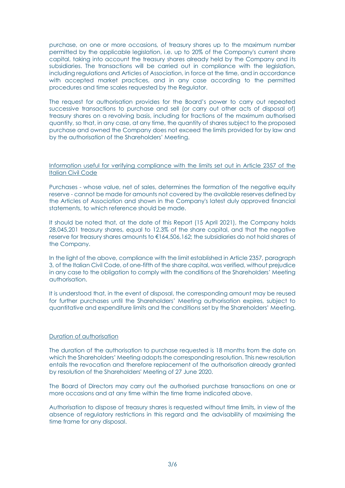purchase, on one or more occasions, of treasury shares up to the maximum number permitted by the applicable legislation, i.e. up to 20% of the Company's current share capital, taking into account the treasury shares already held by the Company and its subsidiaries. The transactions will be carried out in compliance with the legislation, including regulations and Articles of Association, in force at the time, and in accordance with accepted market practices, and in any case according to the permitted procedures and time scales requested by the Regulator.

The request for authorisation provides for the Board's power to carry out repeated successive transactions to purchase and sell (or carry out other acts of disposal of) treasury shares on a revolving basis, including for fractions of the maximum authorised quantity, so that, in any case, at any time, the quantity of shares subject to the proposed purchase and owned the Company does not exceed the limits provided for by law and by the authorisation of the Shareholders' Meeting.

## Information useful for verifying compliance with the limits set out in Article 2357 of the Italian Civil Code

Purchases - whose value, net of sales, determines the formation of the negative equity reserve - cannot be made for amounts not covered by the available reserves defined by the Articles of Association and shown in the Company's latest duly approved financial statements, to which reference should be made.

It should be noted that, at the date of this Report (15 April 2021), the Company holds 28,045,201 treasury shares, equal to 12.3% of the share capital, and that the negative reserve for treasury shares amounts to €164,506,162; the subsidiaries do not hold shares of the Company.

In the light of the above, compliance with the limit established in Article 2357, paragraph 3, of the Italian Civil Code, of one-fifth of the share capital, was verified, without prejudice in any case to the obligation to comply with the conditions of the Shareholders' Meeting authorisation.

It is understood that, in the event of disposal, the corresponding amount may be reused for further purchases until the Shareholders' Meeting authorisation expires, subject to quantitative and expenditure limits and the conditions set by the Shareholders' Meeting.

## Duration of authorisation

The duration of the authorisation to purchase requested is 18 months from the date on which the Shareholders' Meeting adopts the corresponding resolution. This new resolution entails the revocation and therefore replacement of the authorisation already granted by resolution of the Shareholders' Meeting of 27 June 2020.

The Board of Directors may carry out the authorised purchase transactions on one or more occasions and at any time within the time frame indicated above.

Authorisation to dispose of treasury shares is requested without time limits, in view of the absence of regulatory restrictions in this regard and the advisability of maximising the time frame for any disposal.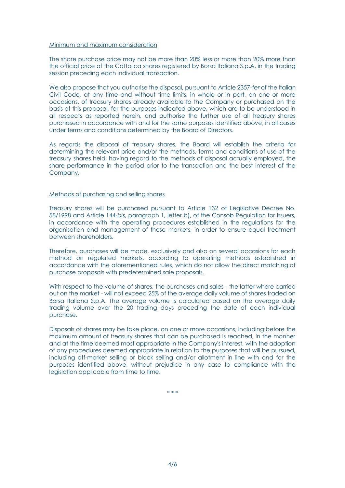### Minimum and maximum consideration

The share purchase price may not be more than 20% less or more than 20% more than the official price of the Cattolica shares registered by Borsa Italiana S.p.A. in the trading session preceding each individual transaction.

We also propose that you authorise the disposal, pursuant to Article 2357-*ter* of the Italian Civil Code, at any time and without time limits, in whole or in part, on one or more occasions, of treasury shares already available to the Company or purchased on the basis of this proposal, for the purposes indicated above, which are to be understood in all respects as reported herein, and authorise the further use of all treasury shares purchased in accordance with and for the same purposes identified above, in all cases under terms and conditions determined by the Board of Directors.

As regards the disposal of treasury shares, the Board will establish the criteria for determining the relevant price and/or the methods, terms and conditions of use of the treasury shares held, having regard to the methods of disposal actually employed, the share performance in the period prior to the transaction and the best interest of the Company.

### Methods of purchasing and selling shares

Treasury shares will be purchased pursuant to Article 132 of Legislative Decree No. 58/1998 and Article 144-*bis*, paragraph 1, letter b), of the Consob Regulation for Issuers, in accordance with the operating procedures established in the regulations for the organisation and management of these markets, in order to ensure equal treatment between shareholders.

Therefore, purchases will be made, exclusively and also on several occasions for each method on regulated markets, according to operating methods established in accordance with the aforementioned rules, which do not allow the direct matching of purchase proposals with predetermined sale proposals.

With respect to the volume of shares, the purchases and sales - the latter where carried out on the market - will not exceed 25% of the average daily volume of shares traded on Borsa Italiana S.p.A. The average volume is calculated based on the average daily trading volume over the 20 trading days preceding the date of each individual purchase.

Disposals of shares may be take place, on one or more occasions, including before the maximum amount of treasury shares that can be purchased is reached, in the manner and at the time deemed most appropriate in the Company's interest, with the adoption of any procedures deemed appropriate in relation to the purposes that will be pursued, including off-market selling or block selling and/or allotment in line with and for the purposes identified above, without prejudice in any case to compliance with the legislation applicable from time to time.

\* \* \*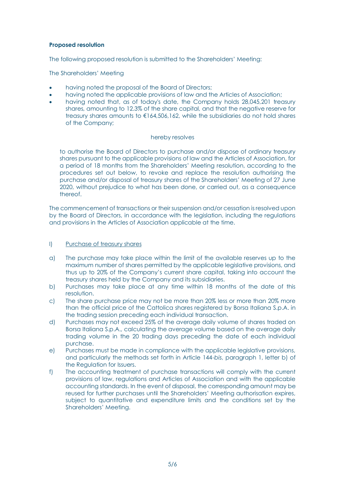# **Proposed resolution**

The following proposed resolution is submitted to the Shareholders' Meeting:

The Shareholders' Meeting

- having noted the proposal of the Board of Directors;
- having noted the applicable provisions of law and the Articles of Association;
- having noted that, as of today's date, the Company holds 28,045,201 treasury shares, amounting to 12.3% of the share capital, and that the negative reserve for treasury shares amounts to €164,506,162, while the subsidiaries do not hold shares of the Company;

## hereby resolves

to authorise the Board of Directors to purchase and/or dispose of ordinary treasury shares pursuant to the applicable provisions of law and the Articles of Association, for a period of 18 months from the Shareholders' Meeting resolution, according to the procedures set out below, to revoke and replace the resolution authorising the purchase and/or disposal of treasury shares of the Shareholders' Meeting of 27 June 2020, without prejudice to what has been done, or carried out, as a consequence thereof.

The commencement of transactions or their suspension and/or cessation is resolved upon by the Board of Directors, in accordance with the legislation, including the regulations and provisions in the Articles of Association applicable at the time.

## I) Purchase of treasury shares

- a) The purchase may take place within the limit of the available reserves up to the maximum number of shares permitted by the applicable legislative provisions, and thus up to 20% of the Company's current share capital, taking into account the treasury shares held by the Company and its subsidiaries.
- b) Purchases may take place at any time within 18 months of the date of this resolution.
- c) The share purchase price may not be more than 20% less or more than 20% more than the official price of the Cattolica shares registered by Borsa Italiana S.p.A. in the trading session preceding each individual transaction.
- d) Purchases may not exceed 25% of the average daily volume of shares traded on Borsa Italiana S.p.A., calculating the average volume based on the average daily trading volume in the 20 trading days preceding the date of each individual purchase.
- e) Purchases must be made in compliance with the applicable legislative provisions, and particularly the methods set forth in Article 144-*bis*, paragraph 1, letter b) of the Regulation for Issuers.
- f) The accounting treatment of purchase transactions will comply with the current provisions of law, regulations and Articles of Association and with the applicable accounting standards. In the event of disposal, the corresponding amount may be reused for further purchases until the Shareholders' Meeting authorisation expires, subject to quantitative and expenditure limits and the conditions set by the Shareholders' Meeting.